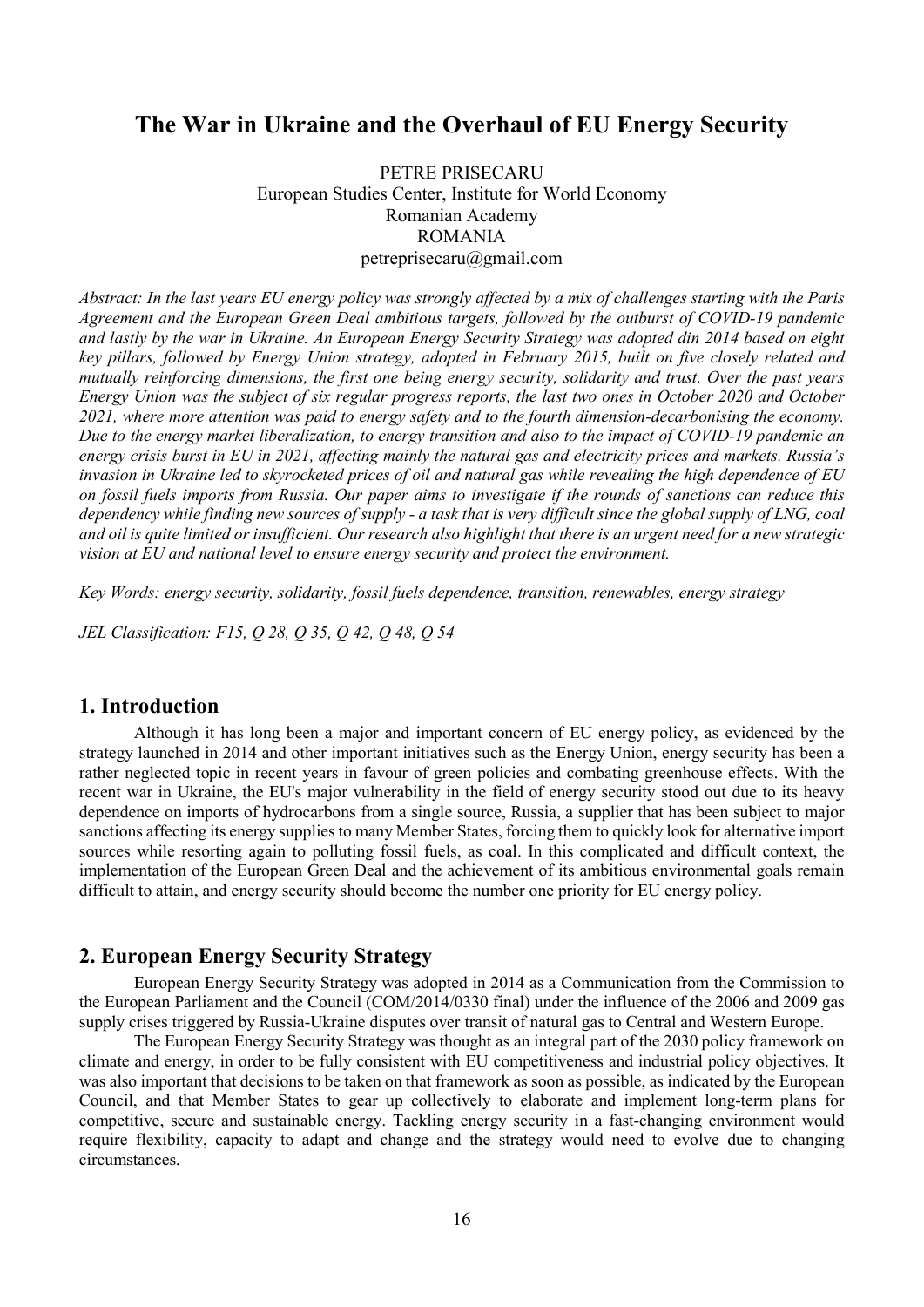# The War in Ukraine and the Overhaul of EU Energy Security

PETRE PRISECARU European Studies Center, Institute for World Economy Romanian Academy ROMANIA petreprisecaru@gmail.com

Abstract: In the last years EU energy policy was strongly affected by a mix of challenges starting with the Paris Agreement and the European Green Deal ambitious targets, followed by the outburst of COVID-19 pandemic and lastly by the war in Ukraine. An European Energy Security Strategy was adopted din 2014 based on eight key pillars, followed by Energy Union strategy, adopted in February 2015, built on five closely related and mutually reinforcing dimensions, the first one being energy security, solidarity and trust. Over the past years Energy Union was the subject of six regular progress reports, the last two ones in October 2020 and October 2021, where more attention was paid to energy safety and to the fourth dimension-decarbonising the economy. Due to the energy market liberalization, to energy transition and also to the impact of COVID-19 pandemic an energy crisis burst in EU in 2021, affecting mainly the natural gas and electricity prices and markets. Russia's invasion in Ukraine led to skyrocketed prices of oil and natural gas while revealing the high dependence of EU on fossil fuels imports from Russia. Our paper aims to investigate if the rounds of sanctions can reduce this dependency while finding new sources of supply - a task that is very difficult since the global supply of LNG, coal and oil is quite limited or insufficient. Our research also highlight that there is an urgent need for a new strategic vision at EU and national level to ensure energy security and protect the environment.

Key Words: energy security, solidarity, fossil fuels dependence, transition, renewables, energy strategy

JEL Classification: F15, Q 28, Q 35, Q 42, Q 48, Q 54

# 1. Introduction

Although it has long been a major and important concern of EU energy policy, as evidenced by the strategy launched in 2014 and other important initiatives such as the Energy Union, energy security has been a rather neglected topic in recent years in favour of green policies and combating greenhouse effects. With the recent war in Ukraine, the EU's major vulnerability in the field of energy security stood out due to its heavy dependence on imports of hydrocarbons from a single source, Russia, a supplier that has been subject to major sanctions affecting its energy supplies to many Member States, forcing them to quickly look for alternative import sources while resorting again to polluting fossil fuels, as coal. In this complicated and difficult context, the implementation of the European Green Deal and the achievement of its ambitious environmental goals remain difficult to attain, and energy security should become the number one priority for EU energy policy.

# 2. European Energy Security Strategy

European Energy Security Strategy was adopted in 2014 as a Communication from the Commission to the European Parliament and the Council (COM/2014/0330 final) under the influence of the 2006 and 2009 gas supply crises triggered by Russia-Ukraine disputes over transit of natural gas to Central and Western Europe.

The European Energy Security Strategy was thought as an integral part of the 2030 policy framework on climate and energy, in order to be fully consistent with EU competitiveness and industrial policy objectives. It was also important that decisions to be taken on that framework as soon as possible, as indicated by the European Council, and that Member States to gear up collectively to elaborate and implement long-term plans for competitive, secure and sustainable energy. Tackling energy security in a fast-changing environment would require flexibility, capacity to adapt and change and the strategy would need to evolve due to changing circumstances.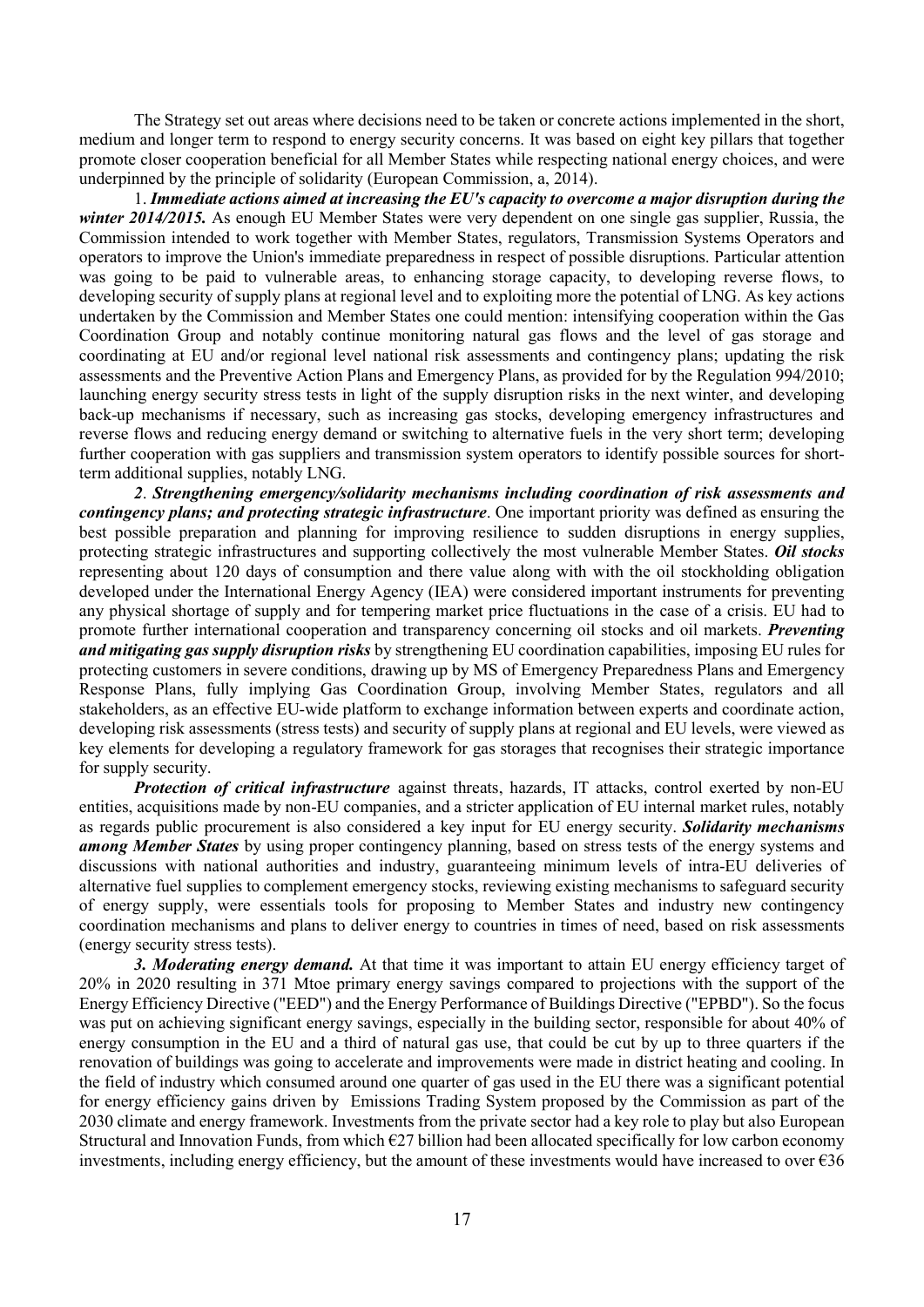The Strategy set out areas where decisions need to be taken or concrete actions implemented in the short, medium and longer term to respond to energy security concerns. It was based on eight key pillars that together promote closer cooperation beneficial for all Member States while respecting national energy choices, and were underpinned by the principle of solidarity (European Commission, a, 2014).

1. Immediate actions aimed at increasing the EU's capacity to overcome a major disruption during the winter 2014/2015. As enough EU Member States were very dependent on one single gas supplier, Russia, the Commission intended to work together with Member States, regulators, Transmission Systems Operators and operators to improve the Union's immediate preparedness in respect of possible disruptions. Particular attention was going to be paid to vulnerable areas, to enhancing storage capacity, to developing reverse flows, to developing security of supply plans at regional level and to exploiting more the potential of LNG. As key actions undertaken by the Commission and Member States one could mention: intensifying cooperation within the Gas Coordination Group and notably continue monitoring natural gas flows and the level of gas storage and coordinating at EU and/or regional level national risk assessments and contingency plans; updating the risk assessments and the Preventive Action Plans and Emergency Plans, as provided for by the Regulation 994/2010; launching energy security stress tests in light of the supply disruption risks in the next winter, and developing back-up mechanisms if necessary, such as increasing gas stocks, developing emergency infrastructures and reverse flows and reducing energy demand or switching to alternative fuels in the very short term; developing further cooperation with gas suppliers and transmission system operators to identify possible sources for shortterm additional supplies, notably LNG.

2. Strengthening emergency/solidarity mechanisms including coordination of risk assessments and contingency plans; and protecting strategic infrastructure. One important priority was defined as ensuring the best possible preparation and planning for improving resilience to sudden disruptions in energy supplies, protecting strategic infrastructures and supporting collectively the most vulnerable Member States. Oil stocks representing about 120 days of consumption and there value along with with the oil stockholding obligation developed under the International Energy Agency (IEA) were considered important instruments for preventing any physical shortage of supply and for tempering market price fluctuations in the case of a crisis. EU had to promote further international cooperation and transparency concerning oil stocks and oil markets. Preventing and mitigating gas supply disruption risks by strengthening EU coordination capabilities, imposing EU rules for protecting customers in severe conditions, drawing up by MS of Emergency Preparedness Plans and Emergency Response Plans, fully implying Gas Coordination Group, involving Member States, regulators and all stakeholders, as an effective EU-wide platform to exchange information between experts and coordinate action, developing risk assessments (stress tests) and security of supply plans at regional and EU levels, were viewed as key elements for developing a regulatory framework for gas storages that recognises their strategic importance for supply security.

**Protection of critical infrastructure** against threats, hazards, IT attacks, control exerted by non-EU entities, acquisitions made by non-EU companies, and a stricter application of EU internal market rules, notably as regards public procurement is also considered a key input for EU energy security. **Solidarity mechanisms** among Member States by using proper contingency planning, based on stress tests of the energy systems and discussions with national authorities and industry, guaranteeing minimum levels of intra-EU deliveries of alternative fuel supplies to complement emergency stocks, reviewing existing mechanisms to safeguard security of energy supply, were essentials tools for proposing to Member States and industry new contingency coordination mechanisms and plans to deliver energy to countries in times of need, based on risk assessments (energy security stress tests).

3. Moderating energy demand. At that time it was important to attain EU energy efficiency target of 20% in 2020 resulting in 371 Mtoe primary energy savings compared to projections with the support of the Energy Efficiency Directive ("EED") and the Energy Performance of Buildings Directive ("EPBD"). So the focus was put on achieving significant energy savings, especially in the building sector, responsible for about 40% of energy consumption in the EU and a third of natural gas use, that could be cut by up to three quarters if the renovation of buildings was going to accelerate and improvements were made in district heating and cooling. In the field of industry which consumed around one quarter of gas used in the EU there was a significant potential for energy efficiency gains driven by Emissions Trading System proposed by the Commission as part of the 2030 climate and energy framework. Investments from the private sector had a key role to play but also European Structural and Innovation Funds, from which  $E27$  billion had been allocated specifically for low carbon economy investments, including energy efficiency, but the amount of these investments would have increased to over  $\epsilon$ 36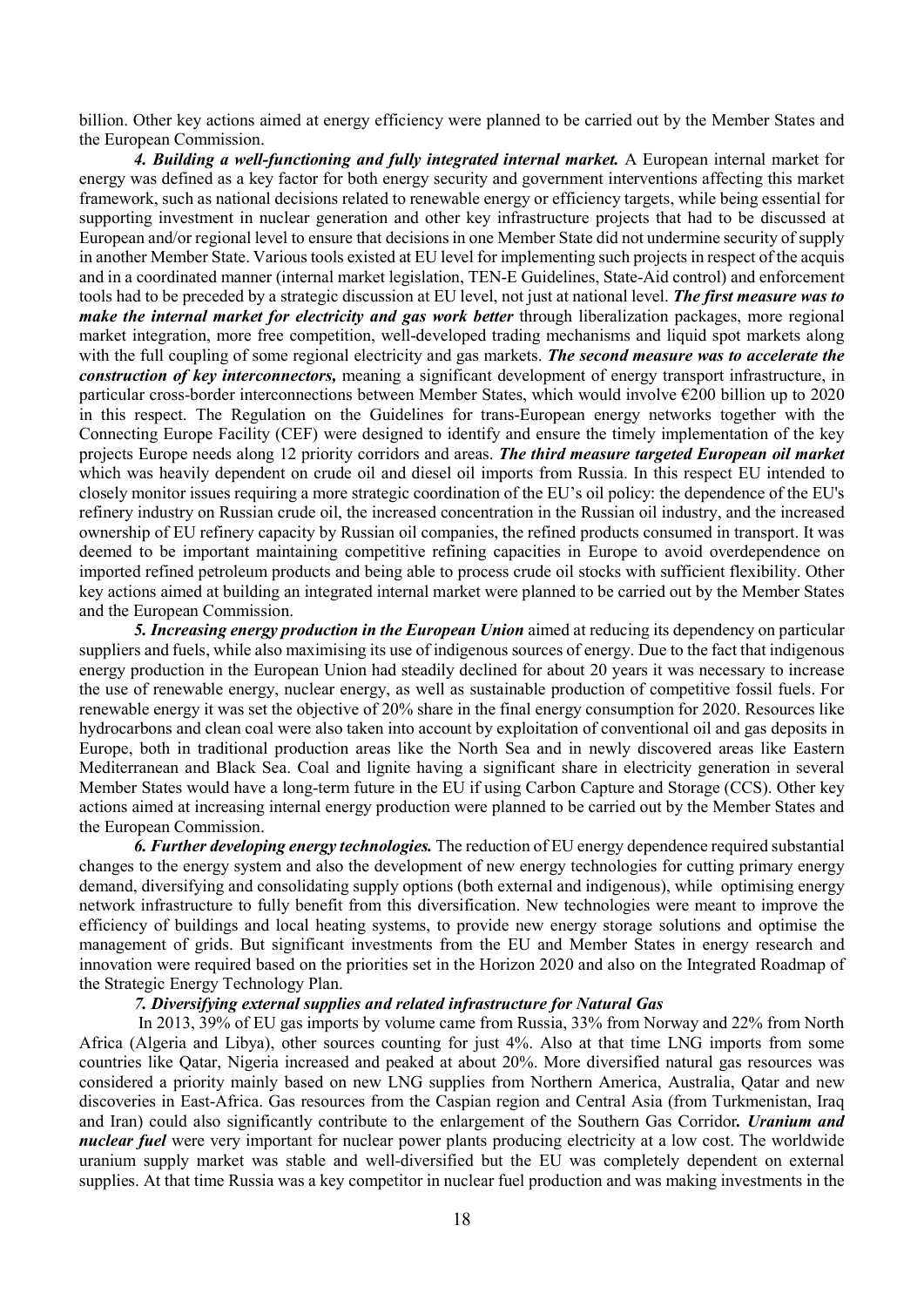billion. Other key actions aimed at energy efficiency were planned to be carried out by the Member States and the European Commission.

4. Building a well-functioning and fully integrated internal market. A European internal market for energy was defined as a key factor for both energy security and government interventions affecting this market framework, such as national decisions related to renewable energy or efficiency targets, while being essential for supporting investment in nuclear generation and other key infrastructure projects that had to be discussed at European and/or regional level to ensure that decisions in one Member State did not undermine security of supply in another Member State. Various tools existed at EU level for implementing such projects in respect of the acquis and in a coordinated manner (internal market legislation, TEN-E Guidelines, State-Aid control) and enforcement tools had to be preceded by a strategic discussion at EU level, not just at national level. The first measure was to make the internal market for electricity and gas work better through liberalization packages, more regional market integration, more free competition, well-developed trading mechanisms and liquid spot markets along with the full coupling of some regional electricity and gas markets. The second measure was to accelerate the construction of key interconnectors, meaning a significant development of energy transport infrastructure, in particular cross-border interconnections between Member States, which would involve  $\epsilon$ 200 billion up to 2020 in this respect. The Regulation on the Guidelines for trans-European energy networks together with the Connecting Europe Facility (CEF) were designed to identify and ensure the timely implementation of the key projects Europe needs along 12 priority corridors and areas. The third measure targeted European oil market which was heavily dependent on crude oil and diesel oil imports from Russia. In this respect EU intended to closely monitor issues requiring a more strategic coordination of the EU's oil policy: the dependence of the EU's refinery industry on Russian crude oil, the increased concentration in the Russian oil industry, and the increased ownership of EU refinery capacity by Russian oil companies, the refined products consumed in transport. It was deemed to be important maintaining competitive refining capacities in Europe to avoid overdependence on imported refined petroleum products and being able to process crude oil stocks with sufficient flexibility. Other key actions aimed at building an integrated internal market were planned to be carried out by the Member States and the European Commission.

5. Increasing energy production in the European Union aimed at reducing its dependency on particular suppliers and fuels, while also maximising its use of indigenous sources of energy. Due to the fact that indigenous energy production in the European Union had steadily declined for about 20 years it was necessary to increase the use of renewable energy, nuclear energy, as well as sustainable production of competitive fossil fuels. For renewable energy it was set the objective of 20% share in the final energy consumption for 2020. Resources like hydrocarbons and clean coal were also taken into account by exploitation of conventional oil and gas deposits in Europe, both in traditional production areas like the North Sea and in newly discovered areas like Eastern Mediterranean and Black Sea. Coal and lignite having a significant share in electricity generation in several Member States would have a long-term future in the EU if using Carbon Capture and Storage (CCS). Other key actions aimed at increasing internal energy production were planned to be carried out by the Member States and the European Commission.

6. Further developing energy technologies. The reduction of EU energy dependence required substantial changes to the energy system and also the development of new energy technologies for cutting primary energy demand, diversifying and consolidating supply options (both external and indigenous), while optimising energy network infrastructure to fully benefit from this diversification. New technologies were meant to improve the efficiency of buildings and local heating systems, to provide new energy storage solutions and optimise the management of grids. But significant investments from the EU and Member States in energy research and innovation were required based on the priorities set in the Horizon 2020 and also on the Integrated Roadmap of the Strategic Energy Technology Plan.

#### 7. Diversifying external supplies and related infrastructure for Natural Gas

In 2013, 39% of EU gas imports by volume came from Russia, 33% from Norway and 22% from North Africa (Algeria and Libya), other sources counting for just 4%. Also at that time LNG imports from some countries like Qatar, Nigeria increased and peaked at about 20%. More diversified natural gas resources was considered a priority mainly based on new LNG supplies from Northern America, Australia, Qatar and new discoveries in East-Africa. Gas resources from the Caspian region and Central Asia (from Turkmenistan, Iraq and Iran) could also significantly contribute to the enlargement of the Southern Gas Corridor. *Uranium and* nuclear fuel were very important for nuclear power plants producing electricity at a low cost. The worldwide uranium supply market was stable and well-diversified but the EU was completely dependent on external supplies. At that time Russia was a key competitor in nuclear fuel production and was making investments in the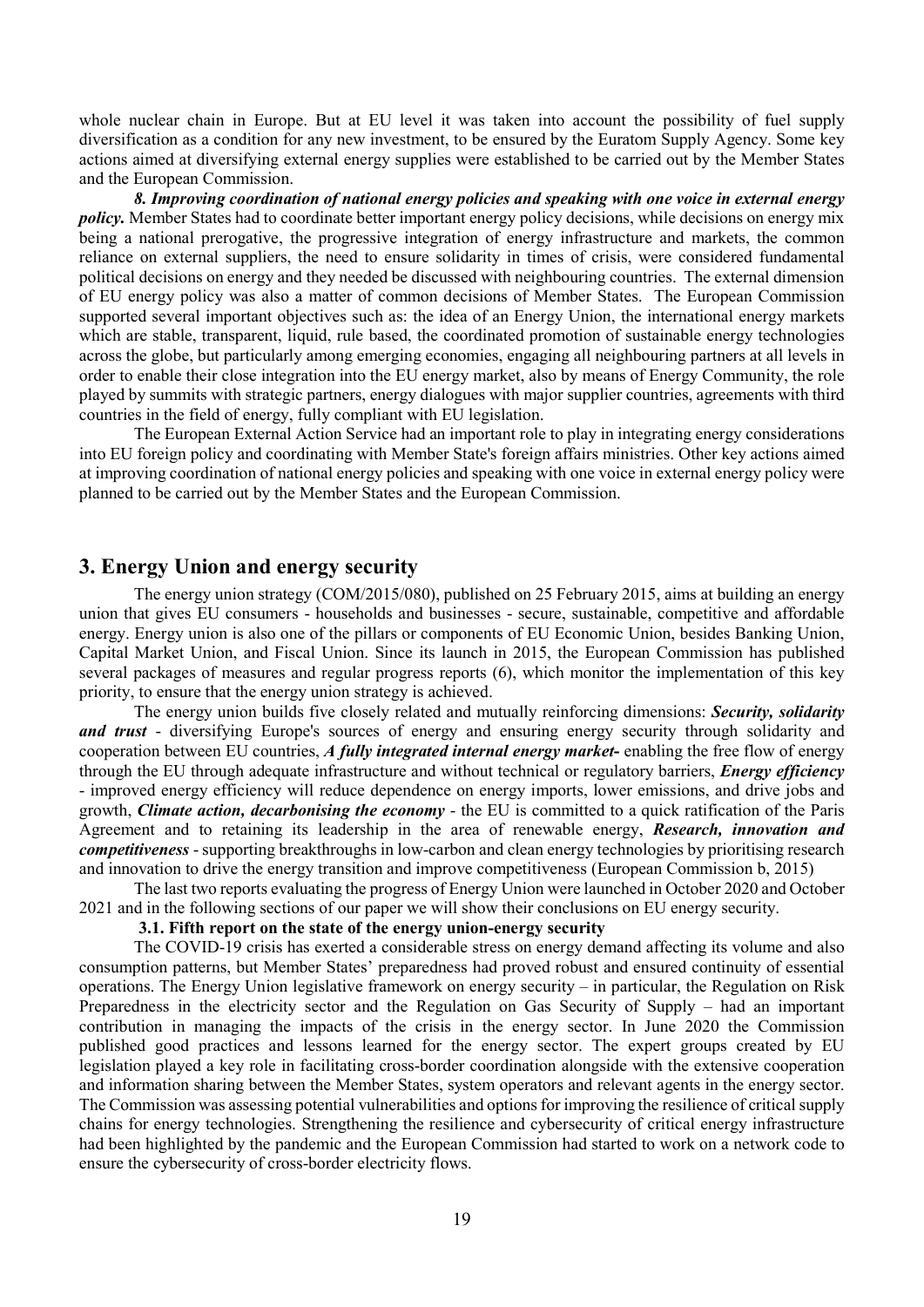whole nuclear chain in Europe. But at EU level it was taken into account the possibility of fuel supply diversification as a condition for any new investment, to be ensured by the Euratom Supply Agency. Some key actions aimed at diversifying external energy supplies were established to be carried out by the Member States and the European Commission.

8. Improving coordination of national energy policies and speaking with one voice in external energy policy. Member States had to coordinate better important energy policy decisions, while decisions on energy mix being a national prerogative, the progressive integration of energy infrastructure and markets, the common reliance on external suppliers, the need to ensure solidarity in times of crisis, were considered fundamental political decisions on energy and they needed be discussed with neighbouring countries. The external dimension of EU energy policy was also a matter of common decisions of Member States. The European Commission supported several important objectives such as: the idea of an Energy Union, the international energy markets which are stable, transparent, liquid, rule based, the coordinated promotion of sustainable energy technologies across the globe, but particularly among emerging economies, engaging all neighbouring partners at all levels in order to enable their close integration into the EU energy market, also by means of Energy Community, the role played by summits with strategic partners, energy dialogues with major supplier countries, agreements with third countries in the field of energy, fully compliant with EU legislation.

The European External Action Service had an important role to play in integrating energy considerations into EU foreign policy and coordinating with Member State's foreign affairs ministries. Other key actions aimed at improving coordination of national energy policies and speaking with one voice in external energy policy were planned to be carried out by the Member States and the European Commission.

### 3. Energy Union and energy security

The energy union strategy (COM/2015/080), published on 25 February 2015, aims at building an energy union that gives EU consumers - households and businesses - secure, sustainable, competitive and affordable energy. Energy union is also one of the pillars or components of EU Economic Union, besides Banking Union, Capital Market Union, and Fiscal Union. Since its launch in 2015, the European Commission has published several packages of measures and regular progress reports (6), which monitor the implementation of this key priority, to ensure that the energy union strategy is achieved.

The energy union builds five closely related and mutually reinforcing dimensions: Security, solidarity and trust - diversifying Europe's sources of energy and ensuring energy security through solidarity and cooperation between EU countries, A fully integrated internal energy market- enabling the free flow of energy through the EU through adequate infrastructure and without technical or regulatory barriers, *Energy efficiency* - improved energy efficiency will reduce dependence on energy imports, lower emissions, and drive jobs and growth, *Climate action, decarbonising the economy* - the EU is committed to a quick ratification of the Paris Agreement and to retaining its leadership in the area of renewable energy, **Research, innovation and** competitiveness - supporting breakthroughs in low-carbon and clean energy technologies by prioritising research and innovation to drive the energy transition and improve competitiveness (European Commission b, 2015)

The last two reports evaluating the progress of Energy Union were launched in October 2020 and October 2021 and in the following sections of our paper we will show their conclusions on EU energy security.

#### 3.1. Fifth report on the state of the energy union-energy security

The COVID-19 crisis has exerted a considerable stress on energy demand affecting its volume and also consumption patterns, but Member States' preparedness had proved robust and ensured continuity of essential operations. The Energy Union legislative framework on energy security – in particular, the Regulation on Risk Preparedness in the electricity sector and the Regulation on Gas Security of Supply – had an important contribution in managing the impacts of the crisis in the energy sector. In June 2020 the Commission published good practices and lessons learned for the energy sector. The expert groups created by EU legislation played a key role in facilitating cross-border coordination alongside with the extensive cooperation and information sharing between the Member States, system operators and relevant agents in the energy sector. The Commission was assessing potential vulnerabilities and options for improving the resilience of critical supply chains for energy technologies. Strengthening the resilience and cybersecurity of critical energy infrastructure had been highlighted by the pandemic and the European Commission had started to work on a network code to ensure the cybersecurity of cross-border electricity flows.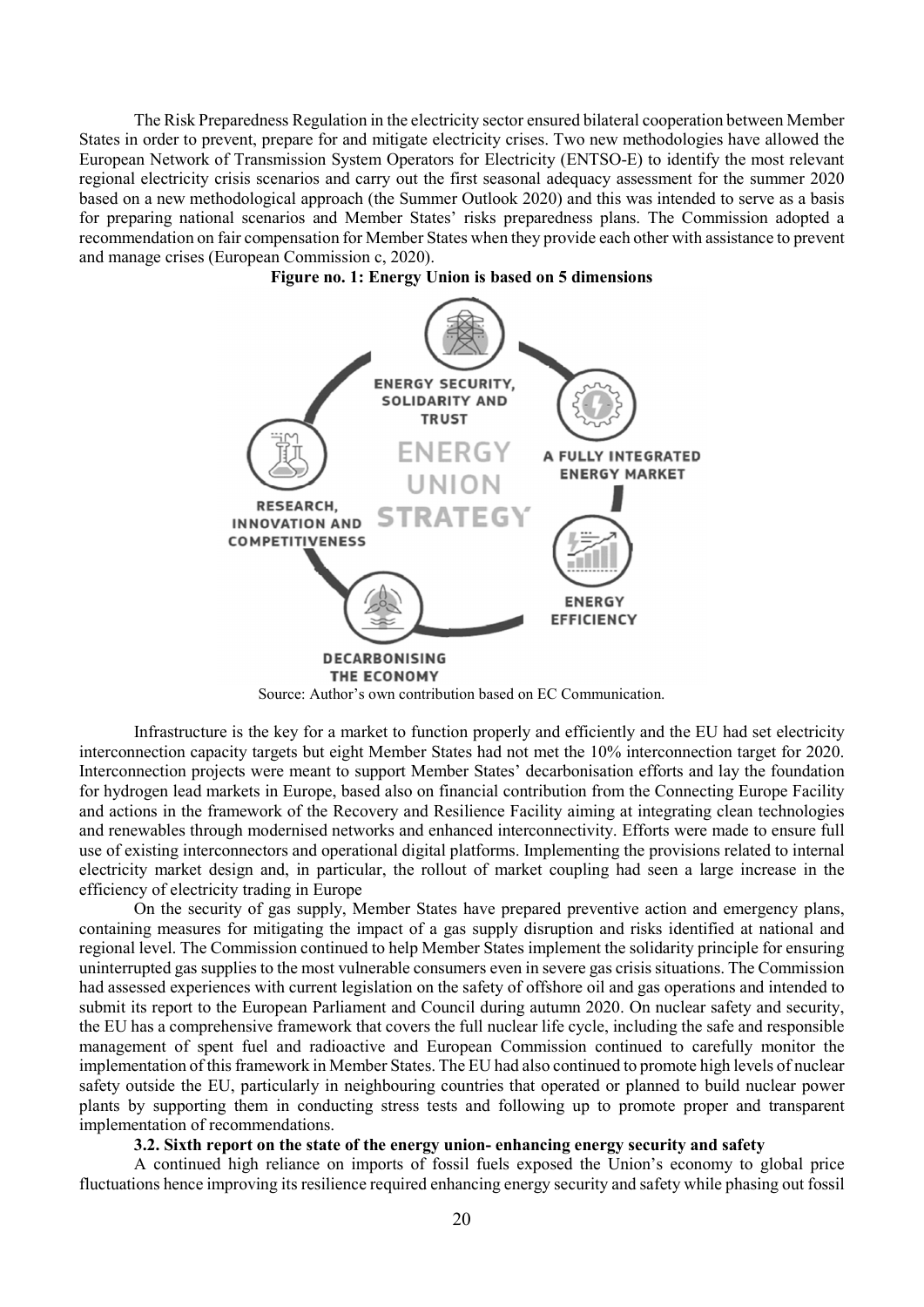The Risk Preparedness Regulation in the electricity sector ensured bilateral cooperation between Member States in order to prevent, prepare for and mitigate electricity crises. Two new methodologies have allowed the European Network of Transmission System Operators for Electricity (ENTSO-E) to identify the most relevant regional electricity crisis scenarios and carry out the first seasonal adequacy assessment for the summer 2020 based on a new methodological approach (the Summer Outlook 2020) and this was intended to serve as a basis for preparing national scenarios and Member States' risks preparedness plans. The Commission adopted a recommendation on fair compensation for Member States when they provide each other with assistance to prevent and manage crises (European Commission c, 2020).





Source: Author's own contribution based on EC Communication.

Infrastructure is the key for a market to function properly and efficiently and the EU had set electricity interconnection capacity targets but eight Member States had not met the 10% interconnection target for 2020. Interconnection projects were meant to support Member States' decarbonisation efforts and lay the foundation for hydrogen lead markets in Europe, based also on financial contribution from the Connecting Europe Facility and actions in the framework of the Recovery and Resilience Facility aiming at integrating clean technologies and renewables through modernised networks and enhanced interconnectivity. Efforts were made to ensure full use of existing interconnectors and operational digital platforms. Implementing the provisions related to internal electricity market design and, in particular, the rollout of market coupling had seen a large increase in the efficiency of electricity trading in Europe

On the security of gas supply, Member States have prepared preventive action and emergency plans, containing measures for mitigating the impact of a gas supply disruption and risks identified at national and regional level. The Commission continued to help Member States implement the solidarity principle for ensuring uninterrupted gas supplies to the most vulnerable consumers even in severe gas crisis situations. The Commission had assessed experiences with current legislation on the safety of offshore oil and gas operations and intended to submit its report to the European Parliament and Council during autumn 2020. On nuclear safety and security, the EU has a comprehensive framework that covers the full nuclear life cycle, including the safe and responsible management of spent fuel and radioactive and European Commission continued to carefully monitor the implementation of this framework in Member States. The EU had also continued to promote high levels of nuclear safety outside the EU, particularly in neighbouring countries that operated or planned to build nuclear power plants by supporting them in conducting stress tests and following up to promote proper and transparent implementation of recommendations.

#### 3.2. Sixth report on the state of the energy union- enhancing energy security and safety

A continued high reliance on imports of fossil fuels exposed the Union's economy to global price fluctuations hence improving its resilience required enhancing energy security and safety while phasing out fossil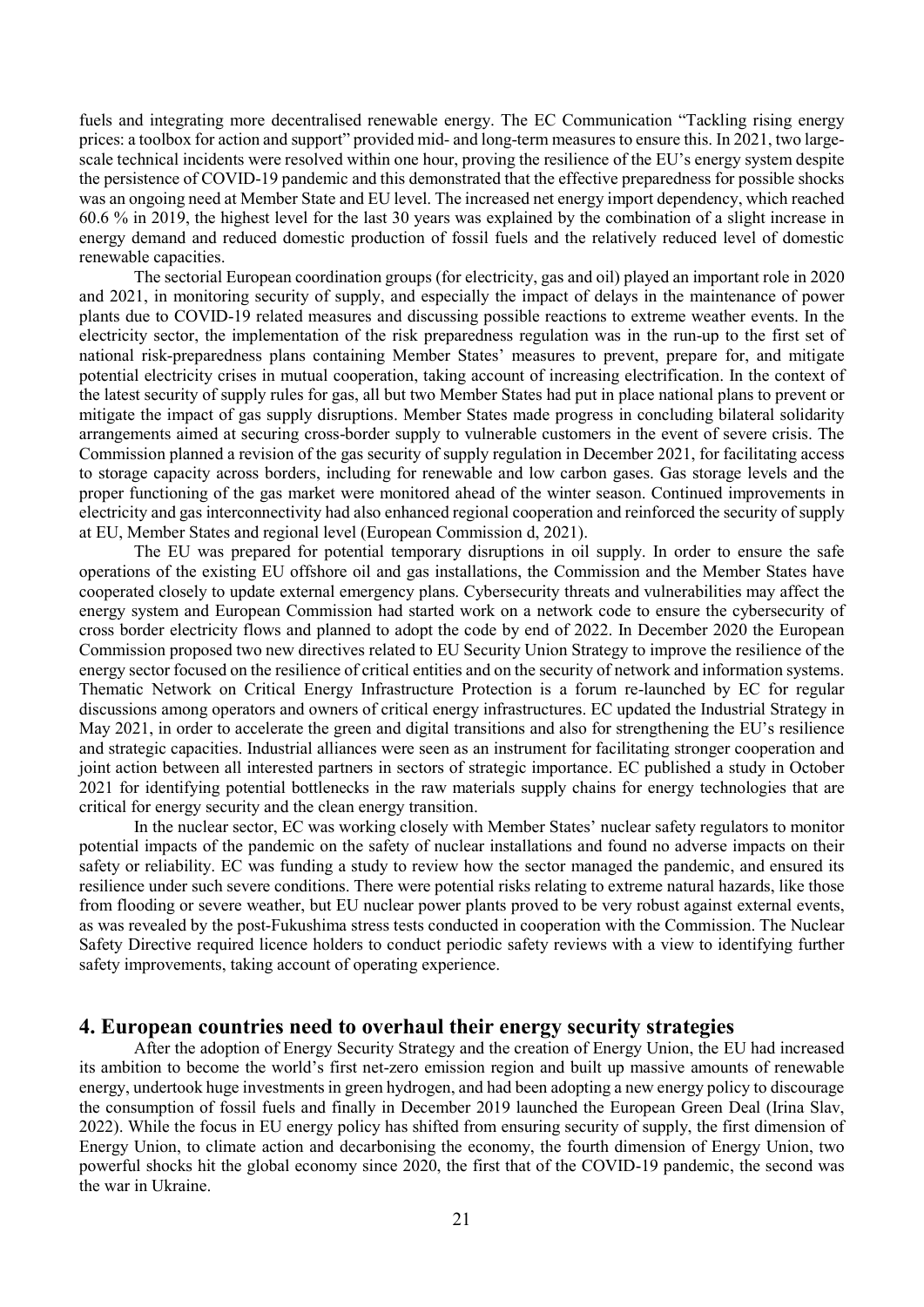fuels and integrating more decentralised renewable energy. The EC Communication "Tackling rising energy prices: a toolbox for action and support" provided mid- and long-term measures to ensure this. In 2021, two largescale technical incidents were resolved within one hour, proving the resilience of the EU's energy system despite the persistence of COVID-19 pandemic and this demonstrated that the effective preparedness for possible shocks was an ongoing need at Member State and EU level. The increased net energy import dependency, which reached 60.6 % in 2019, the highest level for the last 30 years was explained by the combination of a slight increase in energy demand and reduced domestic production of fossil fuels and the relatively reduced level of domestic renewable capacities.

The sectorial European coordination groups (for electricity, gas and oil) played an important role in 2020 and 2021, in monitoring security of supply, and especially the impact of delays in the maintenance of power plants due to COVID-19 related measures and discussing possible reactions to extreme weather events. In the electricity sector, the implementation of the risk preparedness regulation was in the run-up to the first set of national risk-preparedness plans containing Member States' measures to prevent, prepare for, and mitigate potential electricity crises in mutual cooperation, taking account of increasing electrification. In the context of the latest security of supply rules for gas, all but two Member States had put in place national plans to prevent or mitigate the impact of gas supply disruptions. Member States made progress in concluding bilateral solidarity arrangements aimed at securing cross-border supply to vulnerable customers in the event of severe crisis. The Commission planned a revision of the gas security of supply regulation in December 2021, for facilitating access to storage capacity across borders, including for renewable and low carbon gases. Gas storage levels and the proper functioning of the gas market were monitored ahead of the winter season. Continued improvements in electricity and gas interconnectivity had also enhanced regional cooperation and reinforced the security of supply at EU, Member States and regional level (European Commission d, 2021).

The EU was prepared for potential temporary disruptions in oil supply. In order to ensure the safe operations of the existing EU offshore oil and gas installations, the Commission and the Member States have cooperated closely to update external emergency plans. Cybersecurity threats and vulnerabilities may affect the energy system and European Commission had started work on a network code to ensure the cybersecurity of cross border electricity flows and planned to adopt the code by end of 2022. In December 2020 the European Commission proposed two new directives related to EU Security Union Strategy to improve the resilience of the energy sector focused on the resilience of critical entities and on the security of network and information systems. Thematic Network on Critical Energy Infrastructure Protection is a forum re-launched by EC for regular discussions among operators and owners of critical energy infrastructures. EC updated the Industrial Strategy in May 2021, in order to accelerate the green and digital transitions and also for strengthening the EU's resilience and strategic capacities. Industrial alliances were seen as an instrument for facilitating stronger cooperation and joint action between all interested partners in sectors of strategic importance. EC published a study in October 2021 for identifying potential bottlenecks in the raw materials supply chains for energy technologies that are critical for energy security and the clean energy transition.

In the nuclear sector, EC was working closely with Member States' nuclear safety regulators to monitor potential impacts of the pandemic on the safety of nuclear installations and found no adverse impacts on their safety or reliability. EC was funding a study to review how the sector managed the pandemic, and ensured its resilience under such severe conditions. There were potential risks relating to extreme natural hazards, like those from flooding or severe weather, but EU nuclear power plants proved to be very robust against external events, as was revealed by the post-Fukushima stress tests conducted in cooperation with the Commission. The Nuclear Safety Directive required licence holders to conduct periodic safety reviews with a view to identifying further safety improvements, taking account of operating experience.

### 4. European countries need to overhaul their energy security strategies

After the adoption of Energy Security Strategy and the creation of Energy Union, the EU had increased its ambition to become the world's first net-zero emission region and built up massive amounts of renewable energy, undertook huge investments in green hydrogen, and had been adopting a new energy policy to discourage the consumption of fossil fuels and finally in December 2019 launched the European Green Deal (Irina Slav, 2022). While the focus in EU energy policy has shifted from ensuring security of supply, the first dimension of Energy Union, to climate action and decarbonising the economy, the fourth dimension of Energy Union, two powerful shocks hit the global economy since 2020, the first that of the COVID-19 pandemic, the second was the war in Ukraine.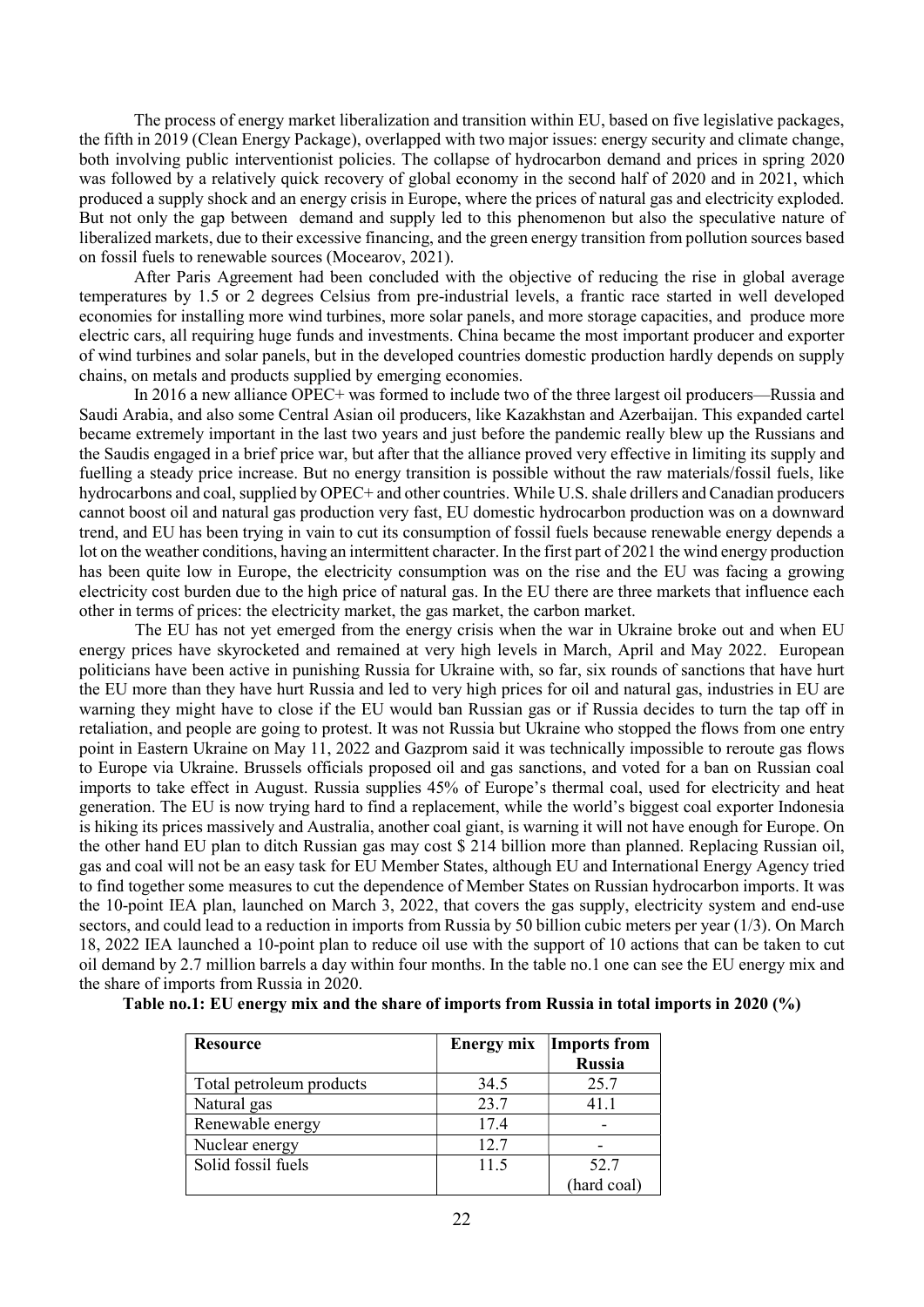The process of energy market liberalization and transition within EU, based on five legislative packages, the fifth in 2019 (Clean Energy Package), overlapped with two major issues: energy security and climate change, both involving public interventionist policies. The collapse of hydrocarbon demand and prices in spring 2020 was followed by a relatively quick recovery of global economy in the second half of 2020 and in 2021, which produced a supply shock and an energy crisis in Europe, where the prices of natural gas and electricity exploded. But not only the gap between demand and supply led to this phenomenon but also the speculative nature of liberalized markets, due to their excessive financing, and the green energy transition from pollution sources based on fossil fuels to renewable sources (Mocearov, 2021).

After Paris Agreement had been concluded with the objective of reducing the rise in global average temperatures by 1.5 or 2 degrees Celsius from pre-industrial levels, a frantic race started in well developed economies for installing more wind turbines, more solar panels, and more storage capacities, and produce more electric cars, all requiring huge funds and investments. China became the most important producer and exporter of wind turbines and solar panels, but in the developed countries domestic production hardly depends on supply chains, on metals and products supplied by emerging economies.

In 2016 a new alliance OPEC+ was formed to include two of the three largest oil producers—Russia and Saudi Arabia, and also some Central Asian oil producers, like Kazakhstan and Azerbaijan. This expanded cartel became extremely important in the last two years and just before the pandemic really blew up the Russians and the Saudis engaged in a brief price war, but after that the alliance proved very effective in limiting its supply and fuelling a steady price increase. But no energy transition is possible without the raw materials/fossil fuels, like hydrocarbons and coal, supplied by OPEC+ and other countries. While U.S. shale drillers and Canadian producers cannot boost oil and natural gas production very fast, EU domestic hydrocarbon production was on a downward trend, and EU has been trying in vain to cut its consumption of fossil fuels because renewable energy depends a lot on the weather conditions, having an intermittent character. In the first part of 2021 the wind energy production has been quite low in Europe, the electricity consumption was on the rise and the EU was facing a growing electricity cost burden due to the high price of natural gas. In the EU there are three markets that influence each other in terms of prices: the electricity market, the gas market, the carbon market.

 The EU has not yet emerged from the energy crisis when the war in Ukraine broke out and when EU energy prices have skyrocketed and remained at very high levels in March, April and May 2022. European politicians have been active in punishing Russia for Ukraine with, so far, six rounds of sanctions that have hurt the EU more than they have hurt Russia and led to very high prices for oil and natural gas, industries in EU are warning they might have to close if the EU would ban Russian gas or if Russia decides to turn the tap off in retaliation, and people are going to protest. It was not Russia but Ukraine who stopped the flows from one entry point in Eastern Ukraine on May 11, 2022 and Gazprom said it was technically impossible to reroute gas flows to Europe via Ukraine. Brussels officials proposed oil and gas sanctions, and voted for a ban on Russian coal imports to take effect in August. Russia supplies 45% of Europe's thermal coal, used for electricity and heat generation. The EU is now trying hard to find a replacement, while the world's biggest coal exporter Indonesia is hiking its prices massively and Australia, another coal giant, is warning it will not have enough for Europe. On the other hand EU plan to ditch Russian gas may cost \$ 214 billion more than planned. Replacing Russian oil, gas and coal will not be an easy task for EU Member States, although EU and International Energy Agency tried to find together some measures to cut the dependence of Member States on Russian hydrocarbon imports. It was the 10-point IEA plan, launched on March 3, 2022, that covers the gas supply, electricity system and end-use sectors, and could lead to a reduction in imports from Russia by 50 billion cubic meters per year (1/3). On March 18, 2022 IEA launched a 10-point plan to reduce oil use with the support of 10 actions that can be taken to cut oil demand by 2.7 million barrels a day within four months. In the table no.1 one can see the EU energy mix and the share of imports from Russia in 2020.

| <b>Resource</b>          |      | <b>Energy mix</b> Imports from<br><b>Russia</b> |
|--------------------------|------|-------------------------------------------------|
| Total petroleum products | 34.5 | 25.7                                            |
| Natural gas              | 23.7 | 41.1                                            |
| Renewable energy         | 17.4 |                                                 |
| Nuclear energy           | 12.7 |                                                 |
| Solid fossil fuels       | 11.5 | 52.7                                            |
|                          |      | (hard coal)                                     |

Table no.1: EU energy mix and the share of imports from Russia in total imports in 2020 (%)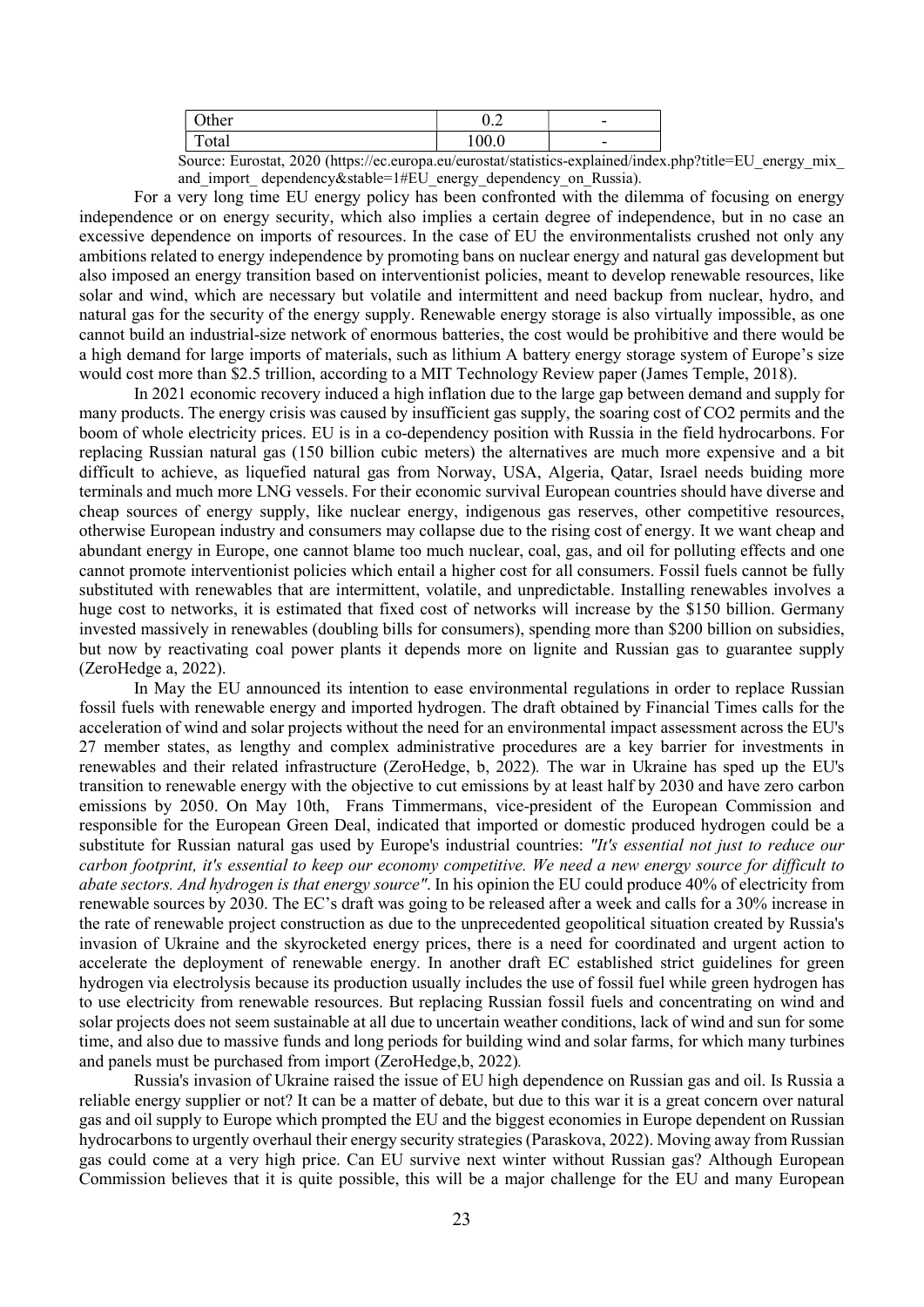| ther                | $\sim$<br>∪.∠               | $\overline{\phantom{0}}$ |
|---------------------|-----------------------------|--------------------------|
| <u>тт</u><br>1 otal | $\Omega$<br>$\sim$<br>100.0 | $\overline{\phantom{0}}$ |
|                     |                             |                          |

Source: Eurostat, 2020 (https://ec.europa.eu/eurostat/statistics-explained/index.php?title=EU\_energy\_mix\_ and import dependency&stable=1#EU energy dependency on Russia).

For a very long time EU energy policy has been confronted with the dilemma of focusing on energy independence or on energy security, which also implies a certain degree of independence, but in no case an excessive dependence on imports of resources. In the case of EU the environmentalists crushed not only any ambitions related to energy independence by promoting bans on nuclear energy and natural gas development but also imposed an energy transition based on interventionist policies, meant to develop renewable resources, like solar and wind, which are necessary but volatile and intermittent and need backup from nuclear, hydro, and natural gas for the security of the energy supply. Renewable energy storage is also virtually impossible, as one cannot build an industrial-size network of enormous batteries, the cost would be prohibitive and there would be a high demand for large imports of materials, such as lithium A battery energy storage system of Europe's size would cost more than \$2.5 trillion, according to a MIT Technology Review paper (James Temple, 2018).

In 2021 economic recovery induced a high inflation due to the large gap between demand and supply for many products. The energy crisis was caused by insufficient gas supply, the soaring cost of CO2 permits and the boom of whole electricity prices. EU is in a co-dependency position with Russia in the field hydrocarbons. For replacing Russian natural gas (150 billion cubic meters) the alternatives are much more expensive and a bit difficult to achieve, as liquefied natural gas from Norway, USA, Algeria, Qatar, Israel needs buiding more terminals and much more LNG vessels. For their economic survival European countries should have diverse and cheap sources of energy supply, like nuclear energy, indigenous gas reserves, other competitive resources, otherwise European industry and consumers may collapse due to the rising cost of energy. It we want cheap and abundant energy in Europe, one cannot blame too much nuclear, coal, gas, and oil for polluting effects and one cannot promote interventionist policies which entail a higher cost for all consumers. Fossil fuels cannot be fully substituted with renewables that are intermittent, volatile, and unpredictable. Installing renewables involves a huge cost to networks, it is estimated that fixed cost of networks will increase by the \$150 billion. Germany invested massively in renewables (doubling bills for consumers), spending more than \$200 billion on subsidies, but now by reactivating coal power plants it depends more on lignite and Russian gas to guarantee supply (ZeroHedge a, 2022).

In May the EU announced its intention to ease environmental regulations in order to replace Russian fossil fuels with renewable energy and imported hydrogen. The draft obtained by Financial Times calls for the acceleration of wind and solar projects without the need for an environmental impact assessment across the EU's 27 member states, as lengthy and complex administrative procedures are a key barrier for investments in renewables and their related infrastructure (ZeroHedge, b, 2022). The war in Ukraine has sped up the EU's transition to renewable energy with the objective to cut emissions by at least half by 2030 and have zero carbon emissions by 2050. On May 10th, Frans Timmermans, vice-president of the European Commission and responsible for the European Green Deal, indicated that imported or domestic produced hydrogen could be a substitute for Russian natural gas used by Europe's industrial countries: "It's essential not just to reduce our carbon footprint, it's essential to keep our economy competitive. We need a new energy source for difficult to abate sectors. And hydrogen is that energy source". In his opinion the EU could produce 40% of electricity from renewable sources by 2030. The EC's draft was going to be released after a week and calls for a 30% increase in the rate of renewable project construction as due to the unprecedented geopolitical situation created by Russia's invasion of Ukraine and the skyrocketed energy prices, there is a need for coordinated and urgent action to accelerate the deployment of renewable energy. In another draft EC established strict guidelines for green hydrogen via electrolysis because its production usually includes the use of fossil fuel while green hydrogen has to use electricity from renewable resources. But replacing Russian fossil fuels and concentrating on wind and solar projects does not seem sustainable at all due to uncertain weather conditions, lack of wind and sun for some time, and also due to massive funds and long periods for building wind and solar farms, for which many turbines and panels must be purchased from import (ZeroHedge,b, 2022).

Russia's invasion of Ukraine raised the issue of EU high dependence on Russian gas and oil. Is Russia a reliable energy supplier or not? It can be a matter of debate, but due to this war it is a great concern over natural gas and oil supply to Europe which prompted the EU and the biggest economies in Europe dependent on Russian hydrocarbons to urgently overhaul their energy security strategies (Paraskova, 2022). Moving away from Russian gas could come at a very high price. Can EU survive next winter without Russian gas? Although European Commission believes that it is quite possible, this will be a major challenge for the EU and many European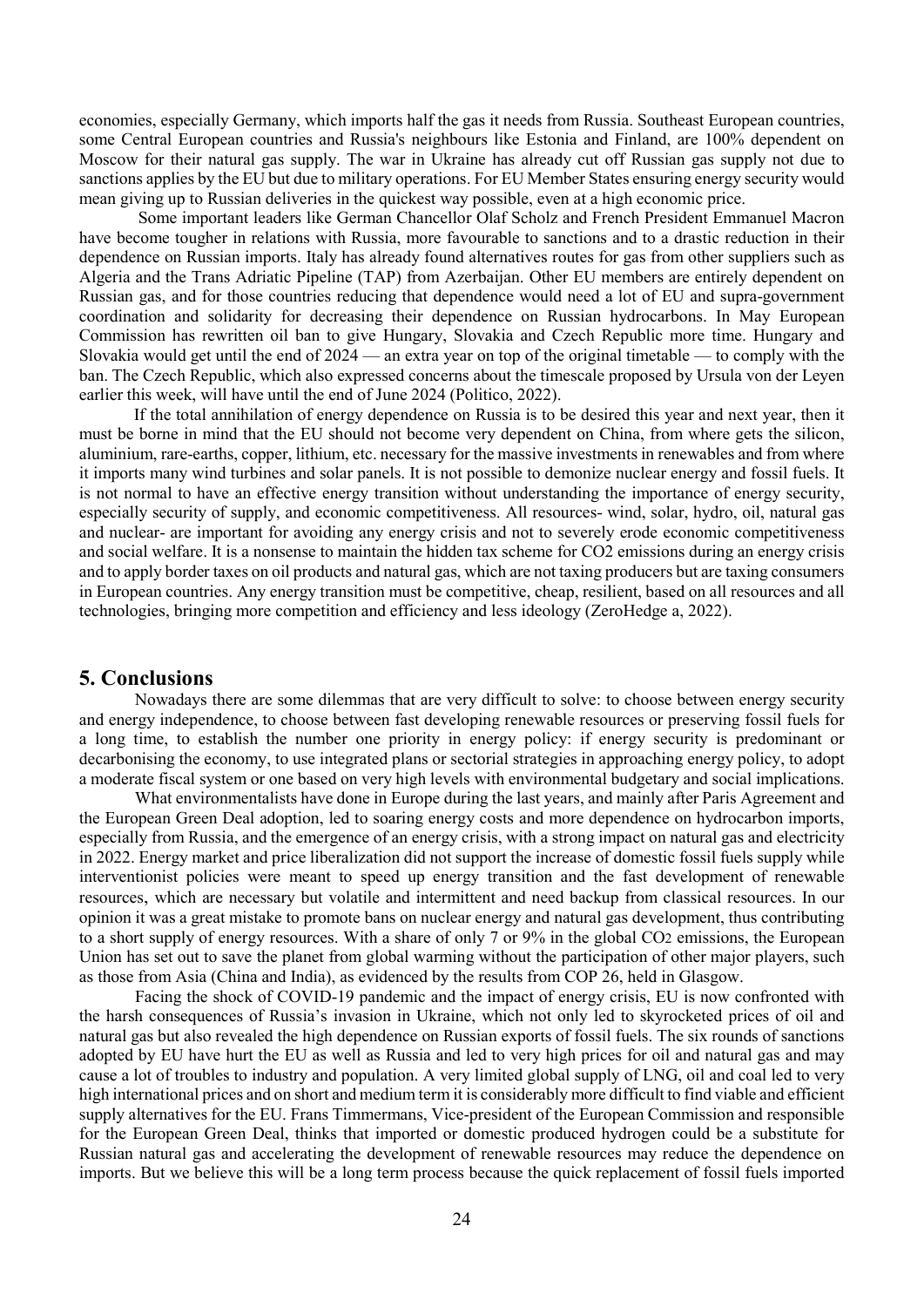economies, especially Germany, which imports half the gas it needs from Russia. Southeast European countries, some Central European countries and Russia's neighbours like Estonia and Finland, are 100% dependent on Moscow for their natural gas supply. The war in Ukraine has already cut off Russian gas supply not due to sanctions applies by the EU but due to military operations. For EU Member States ensuring energy security would mean giving up to Russian deliveries in the quickest way possible, even at a high economic price.

 Some important leaders like German Chancellor Olaf Scholz and French President Emmanuel Macron have become tougher in relations with Russia, more favourable to sanctions and to a drastic reduction in their dependence on Russian imports. Italy has already found alternatives routes for gas from other suppliers such as Algeria and the Trans Adriatic Pipeline (TAP) from Azerbaijan. Other EU members are entirely dependent on Russian gas, and for those countries reducing that dependence would need a lot of EU and supra-government coordination and solidarity for decreasing their dependence on Russian hydrocarbons. In May European Commission has rewritten oil ban to give Hungary, Slovakia and Czech Republic more time. Hungary and Slovakia would get until the end of 2024 — an extra year on top of the original timetable — to comply with the ban. The Czech Republic, which also expressed concerns about the timescale proposed by Ursula von der Leyen earlier this week, will have until the end of June 2024 (Politico, 2022).

If the total annihilation of energy dependence on Russia is to be desired this year and next year, then it must be borne in mind that the EU should not become very dependent on China, from where gets the silicon, aluminium, rare-earths, copper, lithium, etc. necessary for the massive investments in renewables and from where it imports many wind turbines and solar panels. It is not possible to demonize nuclear energy and fossil fuels. It is not normal to have an effective energy transition without understanding the importance of energy security, especially security of supply, and economic competitiveness. All resources- wind, solar, hydro, oil, natural gas and nuclear- are important for avoiding any energy crisis and not to severely erode economic competitiveness and social welfare. It is a nonsense to maintain the hidden tax scheme for CO2 emissions during an energy crisis and to apply border taxes on oil products and natural gas, which are not taxing producers but are taxing consumers in European countries. Any energy transition must be competitive, cheap, resilient, based on all resources and all technologies, bringing more competition and efficiency and less ideology (ZeroHedge a, 2022).

### 5. Conclusions

 Nowadays there are some dilemmas that are very difficult to solve: to choose between energy security and energy independence, to choose between fast developing renewable resources or preserving fossil fuels for a long time, to establish the number one priority in energy policy: if energy security is predominant or decarbonising the economy, to use integrated plans or sectorial strategies in approaching energy policy, to adopt a moderate fiscal system or one based on very high levels with environmental budgetary and social implications.

 What environmentalists have done in Europe during the last years, and mainly after Paris Agreement and the European Green Deal adoption, led to soaring energy costs and more dependence on hydrocarbon imports, especially from Russia, and the emergence of an energy crisis, with a strong impact on natural gas and electricity in 2022. Energy market and price liberalization did not support the increase of domestic fossil fuels supply while interventionist policies were meant to speed up energy transition and the fast development of renewable resources, which are necessary but volatile and intermittent and need backup from classical resources. In our opinion it was a great mistake to promote bans on nuclear energy and natural gas development, thus contributing to a short supply of energy resources. With a share of only 7 or 9% in the global CO2 emissions, the European Union has set out to save the planet from global warming without the participation of other major players, such as those from Asia (China and India), as evidenced by the results from COP 26, held in Glasgow.

Facing the shock of COVID-19 pandemic and the impact of energy crisis, EU is now confronted with the harsh consequences of Russia's invasion in Ukraine, which not only led to skyrocketed prices of oil and natural gas but also revealed the high dependence on Russian exports of fossil fuels. The six rounds of sanctions adopted by EU have hurt the EU as well as Russia and led to very high prices for oil and natural gas and may cause a lot of troubles to industry and population. A very limited global supply of LNG, oil and coal led to very high international prices and on short and medium term it is considerably more difficult to find viable and efficient supply alternatives for the EU. Frans Timmermans, Vice-president of the European Commission and responsible for the European Green Deal, thinks that imported or domestic produced hydrogen could be a substitute for Russian natural gas and accelerating the development of renewable resources may reduce the dependence on imports. But we believe this will be a long term process because the quick replacement of fossil fuels imported